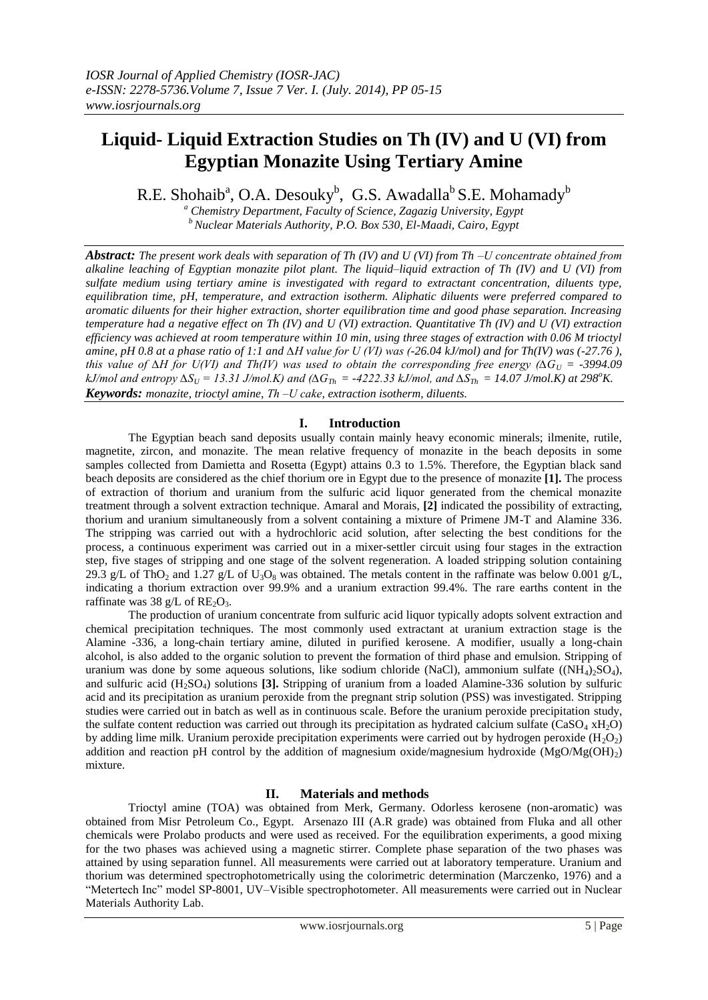# **Liquid- Liquid Extraction Studies on Th (IV) and U (VI) from Egyptian Monazite Using Tertiary Amine**

R.E. Shohaib<sup>a</sup>, O.A. Desouky<sup>b</sup>, G.S. Awadalla<sup>b</sup> S.E. Mohamady<sup>b</sup>

*<sup>a</sup> Chemistry Department, Faculty of Science, Zagazig University, Egypt <sup>b</sup>Nuclear Materials Authority, P.O. Box 530, El-Maadi, Cairo, Egypt*

*Abstract: The present work deals with separation of Th (IV) and U (VI) from Th ‒U concentrate obtained from alkaline leaching of Egyptian monazite pilot plant. The liquid–liquid extraction of Th (IV) and U (VI) from sulfate medium using tertiary amine is investigated with regard to extractant concentration, diluents type, equilibration time, pH, temperature, and extraction isotherm. Aliphatic diluents were preferred compared to aromatic diluents for their higher extraction, shorter equilibration time and good phase separation. Increasing temperature had a negative effect on Th (IV) and U (VI) extraction. Quantitative Th (IV) and U (VI) extraction efficiency was achieved at room temperature within 10 min, using three stages of extraction with 0.06 M trioctyl amine, pH 0.8 at a phase ratio of 1:1 and ∆H value for U (VI) was (-26.04 kJ/mol) and for Th(IV) was (-27.76 ), this value of*  $\Delta H$  *for U(VI) and Th(IV) was used to obtain the corresponding free energy (* $\Delta G_U$  *= -3994.09*  $kJ/mol$  and entropy  $\Delta S_U$  = 13.31 J/mol.K) and ( $\Delta G_{Th}$  = -4222.33 kJ/mol, and  $\Delta S_{Th}$  = 14.07 J/mol.K) at 298<sup>o</sup>K. *Keywords: monazite, trioctyl amine, Th ‒U cake, extraction isotherm, diluents.*

# **I. Introduction**

The Egyptian beach sand deposits usually contain mainly heavy economic minerals; ilmenite, rutile, magnetite, zircon, and monazite. The mean relative frequency of monazite in the beach deposits in some samples collected from Damietta and Rosetta (Egypt) attains 0.3 to 1.5%. Therefore, the Egyptian black sand beach deposits are considered as the chief thorium ore in Egypt due to the presence of monazite **[1].** The process of extraction of thorium and uranium from the sulfuric acid liquor generated from the chemical monazite treatment through a solvent extraction technique. Amaral and Morais, **[2]** indicated the possibility of extracting, thorium and uranium simultaneously from a solvent containing a mixture of Primene JM-T and Alamine 336. The stripping was carried out with a hydrochloric acid solution, after selecting the best conditions for the process, a continuous experiment was carried out in a mixer-settler circuit using four stages in the extraction step, five stages of stripping and one stage of the solvent regeneration. A loaded stripping solution containing 29.3 g/L of ThO<sub>2</sub> and 1.27 g/L of U<sub>3</sub>O<sub>8</sub> was obtained. The metals content in the raffinate was below 0.001 g/L, indicating a thorium extraction over 99.9% and a uranium extraction 99.4%. The rare earths content in the raffinate was 38 g/L of  $RE_2O_3$ .

The production of uranium concentrate from sulfuric acid liquor typically adopts solvent extraction and chemical precipitation techniques. The most commonly used extractant at uranium extraction stage is the Alamine -336, a long-chain tertiary amine, diluted in purified kerosene. A modifier, usually a long-chain alcohol, is also added to the organic solution to prevent the formation of third phase and emulsion. Stripping of uranium was done by some aqueous solutions, like sodium chloride (NaCl), ammonium sulfate ((NH<sub>4</sub>)<sub>2</sub>SO<sub>4</sub>), and sulfuric acid (H2SO4) solutions **[3].** Stripping of uranium from a loaded Alamine-336 solution by sulfuric acid and its precipitation as uranium peroxide from the pregnant strip solution (PSS) was investigated. Stripping studies were carried out in batch as well as in continuous scale. Before the uranium peroxide precipitation study, the sulfate content reduction was carried out through its precipitation as hydrated calcium sulfate (CaSO<sub>4</sub>  $xH_2O$ ) by adding lime milk. Uranium peroxide precipitation experiments were carried out by hydrogen peroxide  $(H_2O_2)$ addition and reaction pH control by the addition of magnesium oxide/magnesium hydroxide ( $MgO/Mg(OH)_{2}$ ) mixture.

# **II. Materials and methods**

Trioctyl amine (TOA) was obtained from Merk, Germany. Odorless kerosene (non-aromatic) was obtained from Misr Petroleum Co., Egypt. Arsenazo III (A.R grade) was obtained from Fluka and all other chemicals were Prolabo products and were used as received. For the equilibration experiments, a good mixing for the two phases was achieved using a magnetic stirrer. Complete phase separation of the two phases was attained by using separation funnel. All measurements were carried out at laboratory temperature. Uranium and thorium was determined spectrophotometrically using the colorimetric determination (Marczenko, 1976) and a "Metertech Inc" model SP-8001, UV–Visible spectrophotometer. All measurements were carried out in Nuclear Materials Authority Lab.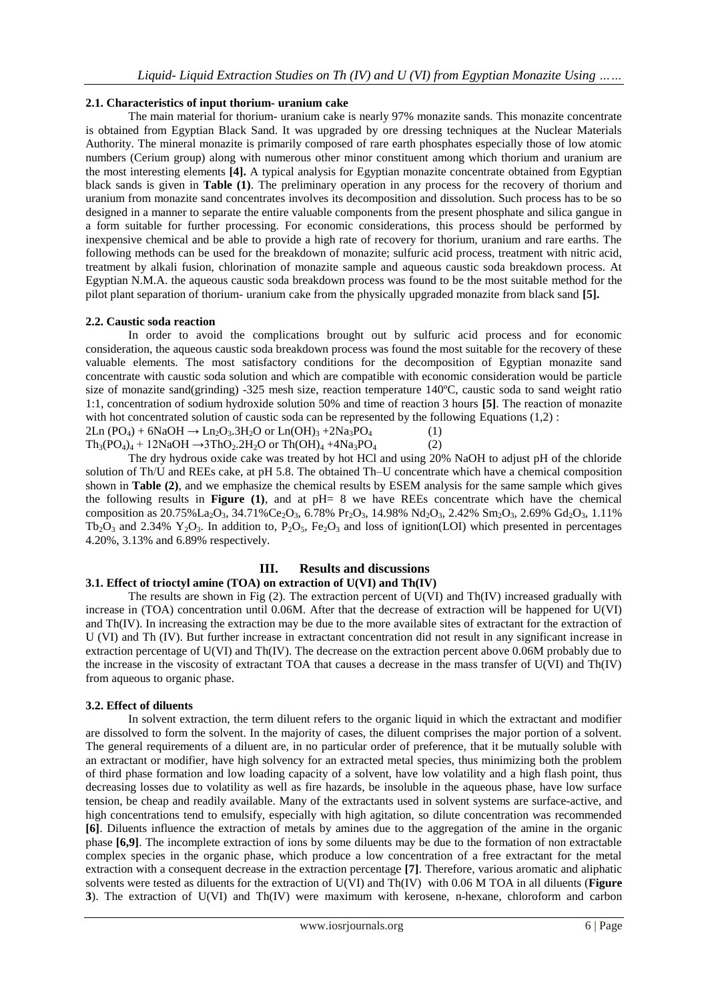## **2.1. Characteristics of input thorium- uranium cake**

The main material for thorium- uranium cake is nearly 97% monazite sands. This monazite concentrate is obtained from Egyptian Black Sand. It was upgraded by ore dressing techniques at the Nuclear Materials Authority. The mineral monazite is primarily composed of rare earth phosphates especially those of low atomic numbers (Cerium group) along with numerous other minor constituent among which thorium and uranium are the most interesting elements **[4].** A typical analysis for Egyptian monazite concentrate obtained from Egyptian black sands is given in **Table (1)**. The preliminary operation in any process for the recovery of thorium and uranium from monazite sand concentrates involves its decomposition and dissolution. Such process has to be so designed in a manner to separate the entire valuable components from the present phosphate and silica gangue in a form suitable for further processing. For economic considerations, this process should be performed by inexpensive chemical and be able to provide a high rate of recovery for thorium, uranium and rare earths. The following methods can be used for the breakdown of monazite; sulfuric acid process, treatment with nitric acid, treatment by alkali fusion, chlorination of monazite sample and aqueous caustic soda breakdown process. At Egyptian N.M.A. the aqueous caustic soda breakdown process was found to be the most suitable method for the pilot plant separation of thorium- uranium cake from the physically upgraded monazite from black sand **[5].**

## **2.2. Caustic soda reaction**

In order to avoid the complications brought out by sulfuric acid process and for economic consideration, the aqueous caustic soda breakdown process was found the most suitable for the recovery of these valuable elements. The most satisfactory conditions for the decomposition of Egyptian monazite sand concentrate with caustic soda solution and which are compatible with economic consideration would be particle size of monazite sand(grinding) -325 mesh size, reaction temperature 140ºC, caustic soda to sand weight ratio 1:1, concentration of sodium hydroxide solution 50% and time of reaction 3 hours **[5]**. The reaction of monazite with hot concentrated solution of caustic soda can be represented by the following Equations (1,2) :  $2\text{Ln } (PO_4) + 6\text{NaOH} \rightarrow \text{Ln}_2\text{O}_3.3\text{H}_2\text{O}$  or  $\text{Ln}(OH)_3 + 2\text{Na}_3\text{PO}_4$  (1)  $Th_3(PO_4)_4 + 12NaOH \rightarrow 3ThO_2.2H_2O$  or  $Th(OH)_4 + 4Na_3PO_4$  (2)

The dry hydrous oxide cake was treated by hot HCl and using 20% NaOH to adjust pH of the chloride solution of Th/U and REEs cake, at pH 5.8. The obtained Th–U concentrate which have a chemical composition shown in **Table (2)**, and we emphasize the chemical results by ESEM analysis for the same sample which gives the following results in **Figure (1)**, and at pH= 8 we have REEs concentrate which have the chemical composition as  $20.75\%$  La<sub>2</sub>O<sub>3</sub>,  $34.71\%$ Ce<sub>2</sub>O<sub>3</sub>,  $6.78\%$  Pr<sub>2</sub>O<sub>3</sub>,  $14.98\%$  Nd<sub>2</sub>O<sub>3</sub>,  $2.42\%$  Sm<sub>2</sub>O<sub>3</sub>,  $2.69\%$  Gd<sub>2</sub>O<sub>3</sub>,  $1.11\%$  $Tb_2O_3$  and 2.34%  $Y_2O_3$ . In addition to,  $P_2O_5$ ,  $Fe_2O_3$  and loss of ignition(LOI) which presented in percentages 4.20%, 3.13% and 6.89% respectively.

# **III. Results and discussions**

# **3.1. Effect of trioctyl amine (TOA) on extraction of U(VI) and Th(IV)**

The results are shown in Fig (2). The extraction percent of U(VI) and Th(IV) increased gradually with increase in (TOA) concentration until 0.06M. After that the decrease of extraction will be happened for U(VI) and Th(IV). In increasing the extraction may be due to the more available sites of extractant for the extraction of U (VI) and Th (IV). But further increase in extractant concentration did not result in any significant increase in extraction percentage of U(VI) and Th(IV). The decrease on the extraction percent above 0.06M probably due to the increase in the viscosity of extractant TOA that causes a decrease in the mass transfer of U(VI) and Th(IV) from aqueous to organic phase.

## **3.2. Effect of diluents**

In solvent extraction, the term diluent refers to the organic liquid in which the extractant and modifier are dissolved to form the solvent. In the majority of cases, the diluent comprises the major portion of a solvent. The general requirements of a diluent are, in no particular order of preference, that it be mutually soluble with an extractant or modifier, have high solvency for an extracted metal species, thus minimizing both the problem of third phase formation and low loading capacity of a solvent, have low volatility and a high flash point, thus decreasing losses due to volatility as well as fire hazards, be insoluble in the aqueous phase, have low surface tension, be cheap and readily available. Many of the extractants used in solvent systems are surface-active, and high concentrations tend to emulsify, especially with high agitation, so dilute concentration was recommended **[6]**. Diluents influence the extraction of metals by amines due to the aggregation of the amine in the organic phase **[6,9]**. The incomplete extraction of ions by some diluents may be due to the formation of non extractable complex species in the organic phase, which produce a low concentration of a free extractant for the metal extraction with a consequent decrease in the extraction percentage **[7]**. Therefore, various aromatic and aliphatic solvents were tested as diluents for the extraction of U(VI) and Th(IV) with 0.06 M TOA in all diluents (**Figure 3**). The extraction of U(VI) and Th(IV) were maximum with kerosene, n-hexane, chloroform and carbon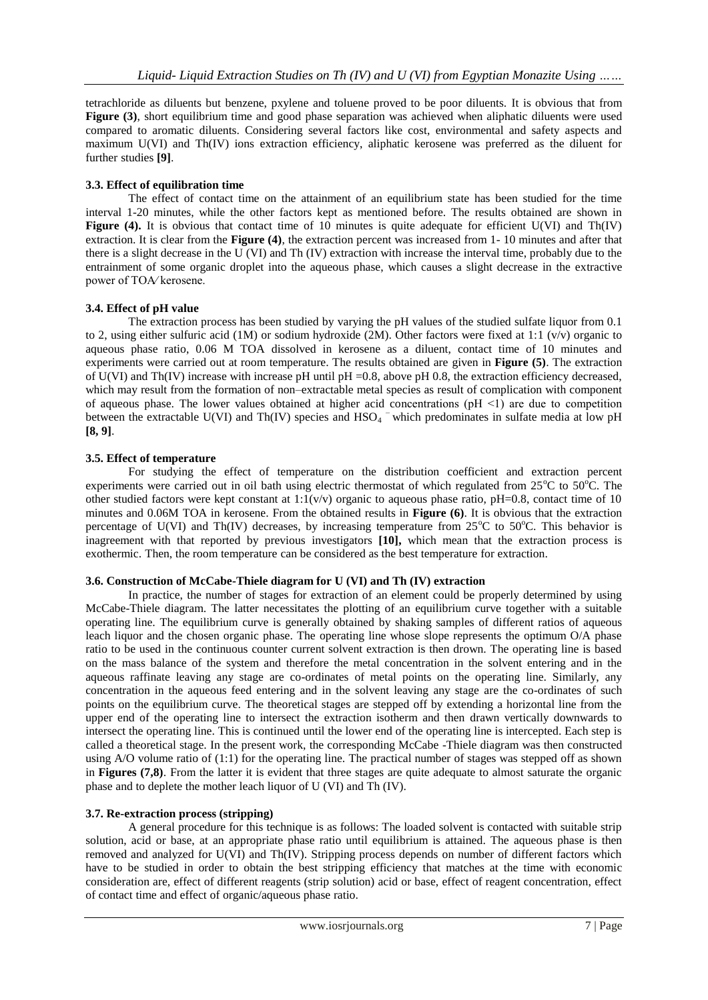tetrachloride as diluents but benzene, pxylene and toluene proved to be poor diluents. It is obvious that from **Figure** (3), short equilibrium time and good phase separation was achieved when aliphatic diluents were used compared to aromatic diluents. Considering several factors like cost, environmental and safety aspects and maximum U(VI) and Th(IV) ions extraction efficiency, aliphatic kerosene was preferred as the diluent for further studies **[9]**.

# **3.3. Effect of equilibration time**

The effect of contact time on the attainment of an equilibrium state has been studied for the time interval 1-20 minutes, while the other factors kept as mentioned before. The results obtained are shown in Figure (4). It is obvious that contact time of 10 minutes is quite adequate for efficient U(VI) and Th(IV) extraction. It is clear from the **Figure (4)**, the extraction percent was increased from 1- 10 minutes and after that there is a slight decrease in the U (VI) and Th (IV) extraction with increase the interval time, probably due to the entrainment of some organic droplet into the aqueous phase, which causes a slight decrease in the extractive power of TOA∕ kerosene.

# **3.4. Effect of pH value**

The extraction process has been studied by varying the pH values of the studied sulfate liquor from 0.1 to 2, using either sulfuric acid (1M) or sodium hydroxide (2M). Other factors were fixed at 1:1 ( $v/v$ ) organic to aqueous phase ratio, 0.06 M TOA dissolved in kerosene as a diluent, contact time of 10 minutes and experiments were carried out at room temperature. The results obtained are given in **Figure (5)**. The extraction of U(VI) and Th(IV) increase with increase pH until pH =0.8, above pH 0.8, the extraction efficiency decreased, which may result from the formation of non–extractable metal species as result of complication with component of aqueous phase. The lower values obtained at higher acid concentrations  $pH \leq 1$  are due to competition between the extractable U(VI) and Th(IV) species and  $HSO_4$ <sup>-</sup> which predominates in sulfate media at low pH **[8, 9]**.

# **3.5. Effect of temperature**

For studying the effect of temperature on the distribution coefficient and extraction percent experiments were carried out in oil bath using electric thermostat of which regulated from  $25^{\circ}\text{C}$  to  $50^{\circ}\text{C}$ . The other studied factors were kept constant at  $1:1(v/v)$  organic to aqueous phase ratio, pH=0.8, contact time of 10 minutes and 0.06M TOA in kerosene. From the obtained results in **Figure (6)**. It is obvious that the extraction percentage of U(VI) and Th(IV) decreases, by increasing temperature from  $25^{\circ}$ C to  $50^{\circ}$ C. This behavior is inagreement with that reported by previous investigators **[10],** which mean that the extraction process is exothermic. Then, the room temperature can be considered as the best temperature for extraction.

# **3.6. Construction of McCabe-Thiele diagram for U (VI) and Th (IV) extraction**

In practice, the number of stages for extraction of an element could be properly determined by using McCabe-Thiele diagram. The latter necessitates the plotting of an equilibrium curve together with a suitable operating line. The equilibrium curve is generally obtained by shaking samples of different ratios of aqueous leach liquor and the chosen organic phase. The operating line whose slope represents the optimum O/A phase ratio to be used in the continuous counter current solvent extraction is then drown. The operating line is based on the mass balance of the system and therefore the metal concentration in the solvent entering and in the aqueous raffinate leaving any stage are co-ordinates of metal points on the operating line. Similarly, any concentration in the aqueous feed entering and in the solvent leaving any stage are the co-ordinates of such points on the equilibrium curve. The theoretical stages are stepped off by extending a horizontal line from the upper end of the operating line to intersect the extraction isotherm and then drawn vertically downwards to intersect the operating line. This is continued until the lower end of the operating line is intercepted. Each step is called a theoretical stage. In the present work, the corresponding McCabe -Thiele diagram was then constructed using A/O volume ratio of (1:1) for the operating line. The practical number of stages was stepped off as shown in **Figures (7,8)**. From the latter it is evident that three stages are quite adequate to almost saturate the organic phase and to deplete the mother leach liquor of U (VI) and Th (IV).

# **3.7. Re-extraction process (stripping)**

A general procedure for this technique is as follows: The loaded solvent is contacted with suitable strip solution, acid or base, at an appropriate phase ratio until equilibrium is attained. The aqueous phase is then removed and analyzed for U(VI) and Th(IV). Stripping process depends on number of different factors which have to be studied in order to obtain the best stripping efficiency that matches at the time with economic consideration are, effect of different reagents (strip solution) acid or base, effect of reagent concentration, effect of contact time and effect of organic/aqueous phase ratio.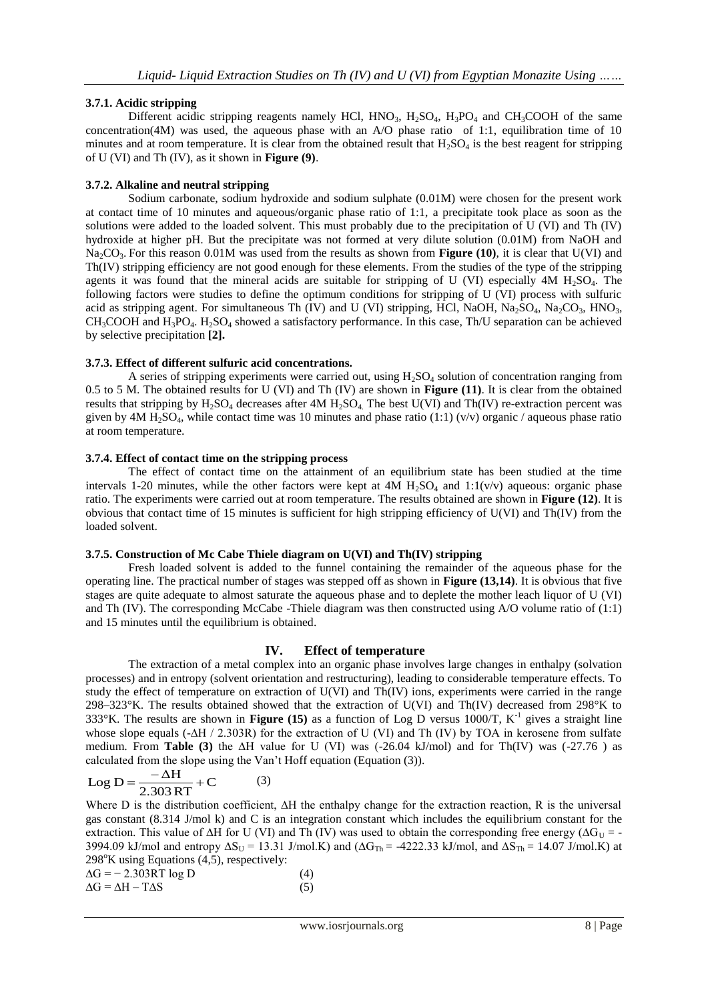## **3.7.1. Acidic stripping**

Different acidic stripping reagents namely HCl,  $HNO<sub>3</sub>$ ,  $H<sub>2</sub>SO<sub>4</sub>$ ,  $H<sub>3</sub>PO<sub>4</sub>$  and  $CH<sub>3</sub>COOH$  of the same concentration(4M) was used, the aqueous phase with an A/O phase ratio of 1:1, equilibration time of 10 minutes and at room temperature. It is clear from the obtained result that  $H_2SO_4$  is the best reagent for stripping of U (VI) and Th (IV), as it shown in **Figure (9)**.

## **3.7.2. Alkaline and neutral stripping**

Sodium carbonate, sodium hydroxide and sodium sulphate (0.01M) were chosen for the present work at contact time of 10 minutes and aqueous/organic phase ratio of 1:1, a precipitate took place as soon as the solutions were added to the loaded solvent. This must probably due to the precipitation of U (VI) and Th (IV) hydroxide at higher pH. But the precipitate was not formed at very dilute solution (0.01M) from NaOH and Na<sub>2</sub>CO<sub>3</sub>. For this reason 0.01M was used from the results as shown from **Figure (10)**, it is clear that U(VI) and Th(IV) stripping efficiency are not good enough for these elements. From the studies of the type of the stripping agents it was found that the mineral acids are suitable for stripping of U (VI) especially  $4M H<sub>2</sub>SO<sub>4</sub>$ . The following factors were studies to define the optimum conditions for stripping of U (VI) process with sulfuric acid as stripping agent. For simultaneous Th (IV) and U (VI) stripping, HCl, NaOH, Na<sub>2</sub>SO<sub>4</sub>, Na<sub>2</sub>CO<sub>3</sub>, HNO<sub>3</sub>,  $CH_3COOH$  and  $H_3PO_4$ .  $H_2SO_4$  showed a satisfactory performance. In this case, Th/U separation can be achieved by selective precipitation **[2].**

## **3.7.3. Effect of different sulfuric acid concentrations.**

A series of stripping experiments were carried out, using  $H_2SO_4$  solution of concentration ranging from 0.5 to 5 M. The obtained results for U (VI) and Th (IV) are shown in **Figure (11)**. It is clear from the obtained results that stripping by  $H_2SO_4$  decreases after  $4M H_2SO_4$ . The best U(VI) and Th(IV) re-extraction percent was given by 4M H<sub>2</sub>SO<sub>4</sub>, while contact time was 10 minutes and phase ratio (1:1) (v/v) organic / aqueous phase ratio at room temperature.

#### **3.7.4. Effect of contact time on the stripping process**

The effect of contact time on the attainment of an equilibrium state has been studied at the time intervals 1-20 minutes, while the other factors were kept at  $4M H_2SO_4$  and  $1:1(v/v)$  aqueous: organic phase ratio. The experiments were carried out at room temperature. The results obtained are shown in **Figure (12)**. It is obvious that contact time of 15 minutes is sufficient for high stripping efficiency of U(VI) and Th(IV) from the loaded solvent.

## **3.7.5. Construction of Mc Cabe Thiele diagram on U(VI) and Th(IV) stripping**

Fresh loaded solvent is added to the funnel containing the remainder of the aqueous phase for the operating line. The practical number of stages was stepped off as shown in **Figure (13,14)**. It is obvious that five stages are quite adequate to almost saturate the aqueous phase and to deplete the mother leach liquor of U (VI) and Th (IV). The corresponding McCabe -Thiele diagram was then constructed using A/O volume ratio of (1:1) and 15 minutes until the equilibrium is obtained.

## **IV. Effect of temperature**

The extraction of a metal complex into an organic phase involves large changes in enthalpy (solvation processes) and in entropy (solvent orientation and restructuring), leading to considerable temperature effects. To study the effect of temperature on extraction of U(VI) and Th(IV) ions, experiments were carried in the range 298–323°K. The results obtained showed that the extraction of U(VI) and Th(IV) decreased from 298°K to 333°K. The results are shown in **Figure (15)** as a function of Log D versus 1000/T,  $K^{-1}$  gives a straight line whose slope equals (-∆H / 2.303R) for the extraction of U (VI) and Th (IV) by TOA in kerosene from sulfate medium. From **Table (3)** the ∆H value for U (VI) was (-26.04 kJ/mol) and for Th(IV) was (-27.76 ) as calculated from the slope using the Van't Hoff equation (Equation (3)).

$$
Log D = \frac{-\Delta H}{2.303 RT} + C
$$
 (3)

Where D is the distribution coefficient, ∆H the enthalpy change for the extraction reaction, R is the universal gas constant (8.314 J/mol k) and C is an integration constant which includes the equilibrium constant for the extraction. This value of ∆H for U (VI) and Th (IV) was used to obtain the corresponding free energy ( $\Delta G_{U}$  = -3994.09 kJ/mol and entropy  $\Delta S_U = 13.31$  J/mol.K) and ( $\Delta G_{Th} = -4222.33$  kJ/mol, and  $\Delta S_{Th} = 14.07$  J/mol.K) at  $298^{\circ}$ K using Equations (4,5), respectively:

$$
\Delta G = -2.303RT \log D \tag{4}
$$
  
\n
$$
\Delta G = \Delta H - T\Delta S \tag{5}
$$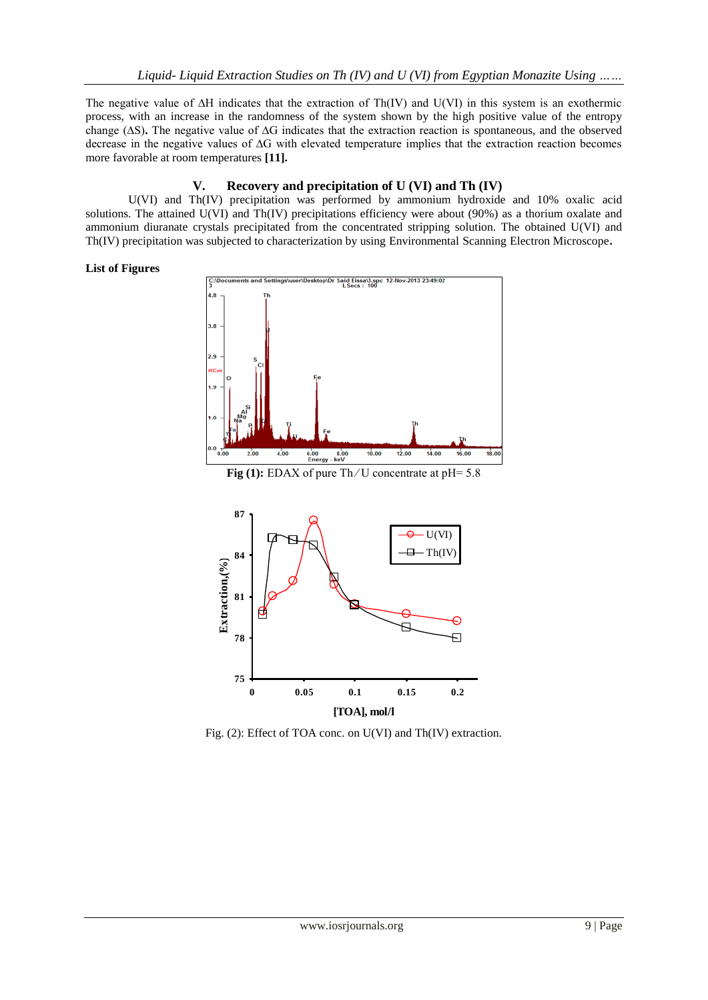The negative value of ∆H indicates that the extraction of Th(IV) and U(VI) in this system is an exothermic process, with an increase in the randomness of the system shown by the high positive value of the entropy change (∆S)**.** The negative value of ∆G indicates that the extraction reaction is spontaneous, and the observed decrease in the negative values of ∆G with elevated temperature implies that the extraction reaction becomes more favorable at room temperatures **[11].**

# **V. Recovery and precipitation of U (VI) and Th (IV)**

U(VI) and Th(IV) precipitation was performed by ammonium hydroxide and 10% oxalic acid solutions. The attained U(VI) and Th(IV) precipitations efficiency were about (90%) as a thorium oxalate and ammonium diuranate crystals precipitated from the concentrated stripping solution. The obtained U(VI) and Th(IV) precipitation was subjected to characterization by using Environmental Scanning Electron Microscope**.**

## **List of Figures**



**Fig (1):** EDAX of pure Th∕U concentrate at pH= 5.8



Fig. (2): Effect of TOA conc. on U(VI) and Th(IV) extraction.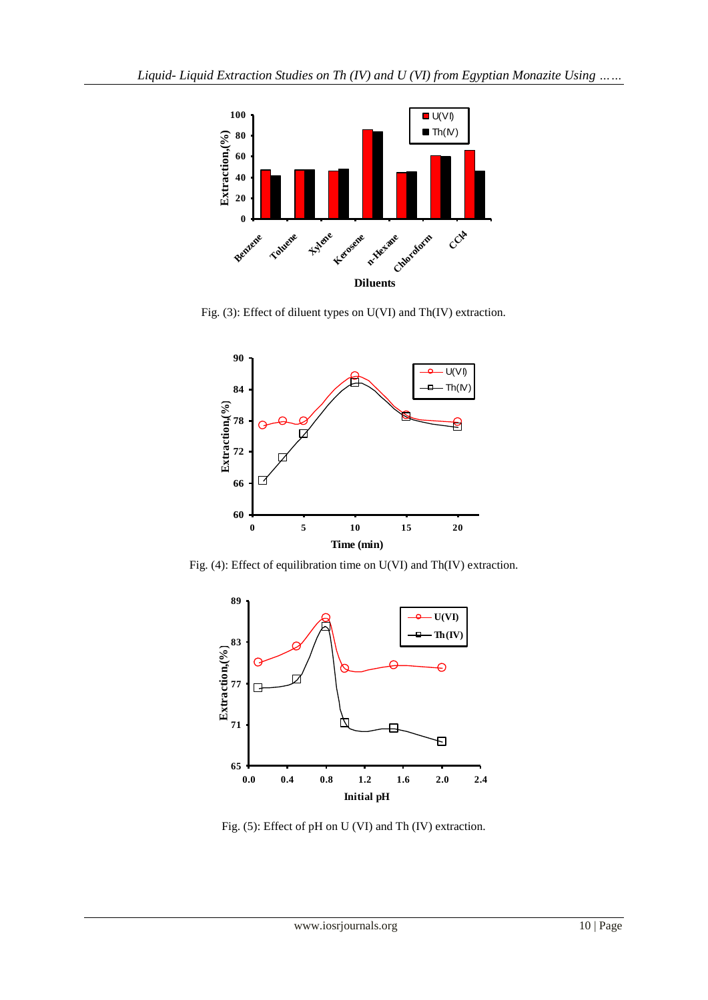

Fig. (3): Effect of diluent types on U(VI) and Th(IV) extraction.



Fig. (4): Effect of equilibration time on U(VI) and Th(IV) extraction.



Fig. (5): Effect of pH on U (VI) and Th (IV) extraction.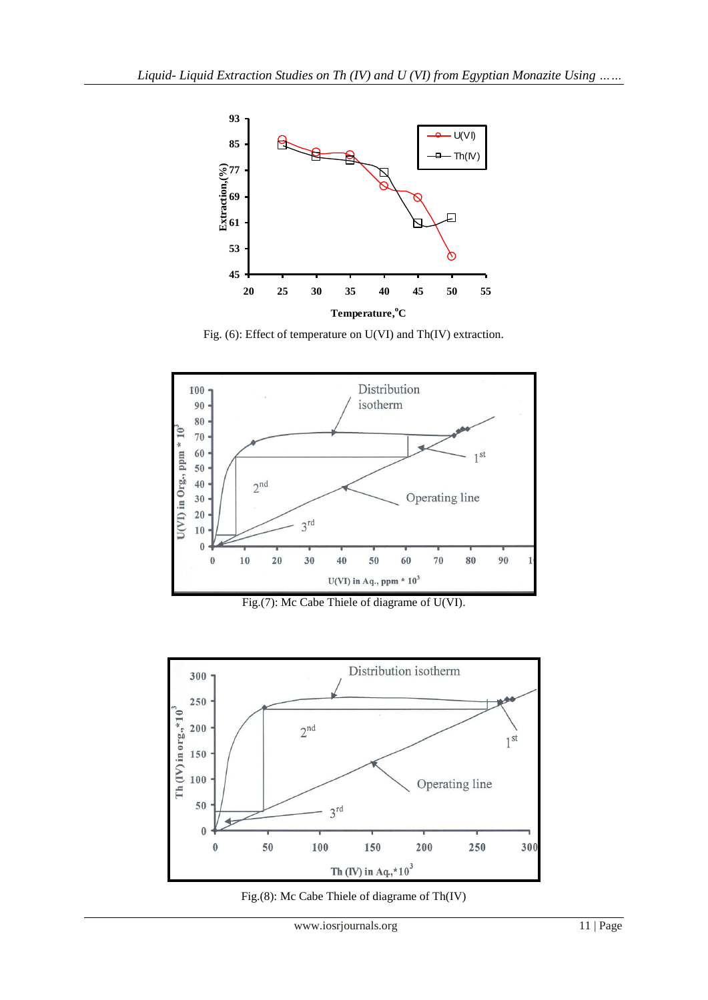

Fig. (6): Effect of temperature on U(VI) and Th(IV) extraction.



Fig.(7): Mc Cabe Thiele of diagrame of U(VI).



Fig.(8): Mc Cabe Thiele of diagrame of Th(IV)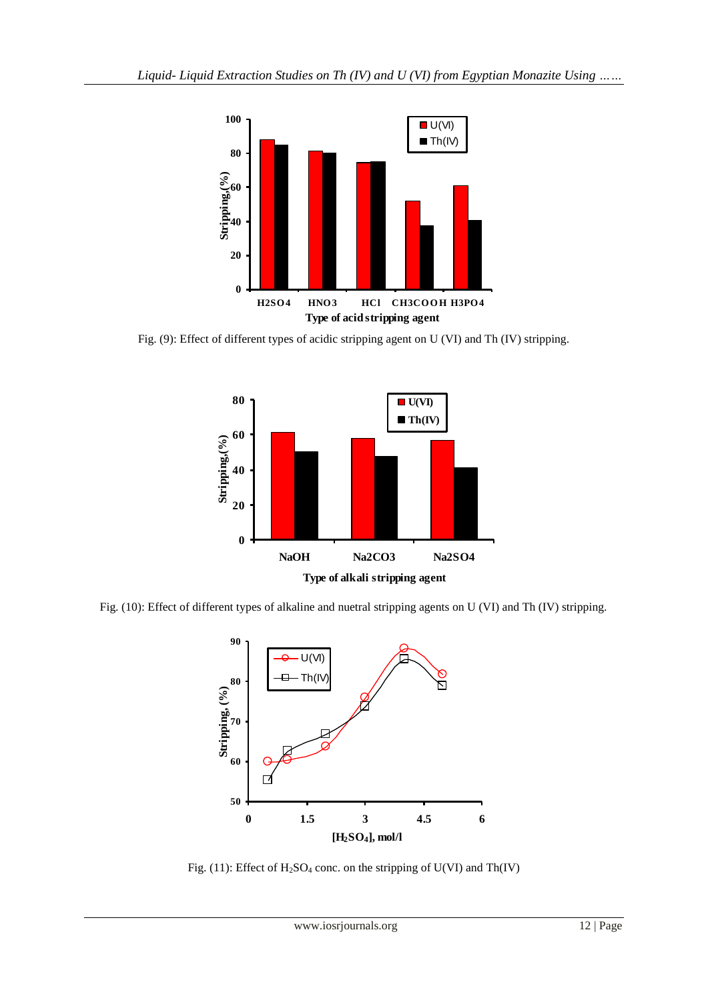

Fig. (9): Effect of different types of acidic stripping agent on U (VI) and Th (IV) stripping.



Fig. (10): Effect of different types of alkaline and nuetral stripping agents on U (VI) and Th (IV) stripping.



Fig. (11): Effect of  $H_2SO_4$  conc. on the stripping of U(VI) and Th(IV)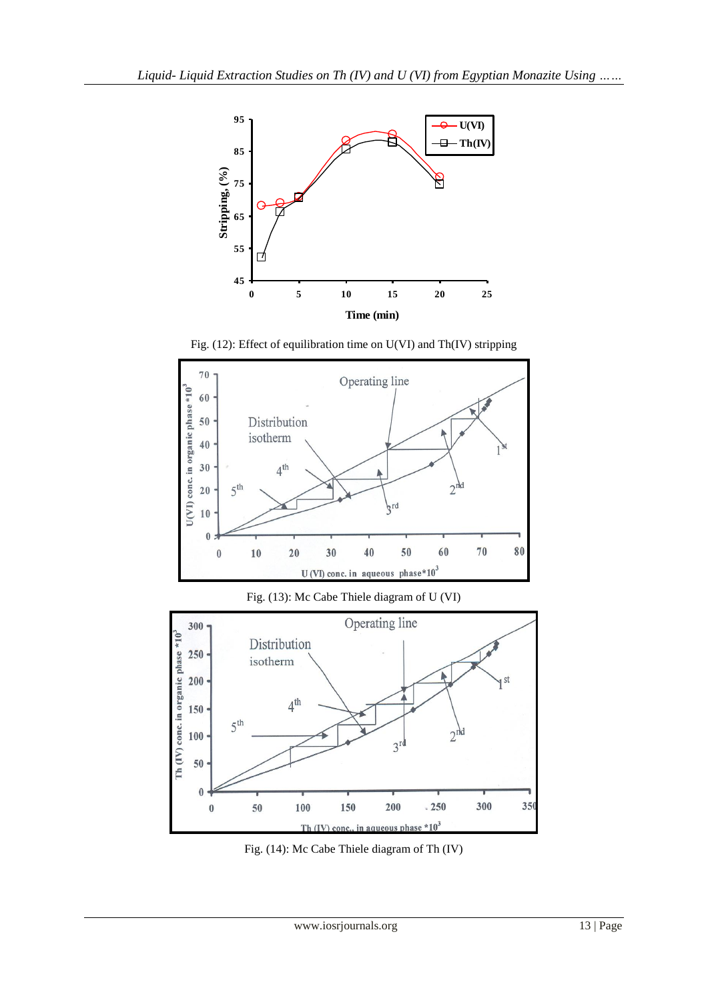

Fig. (12): Effect of equilibration time on U(VI) and Th(IV) stripping



Fig. (14): Mc Cabe Thiele diagram of Th (IV)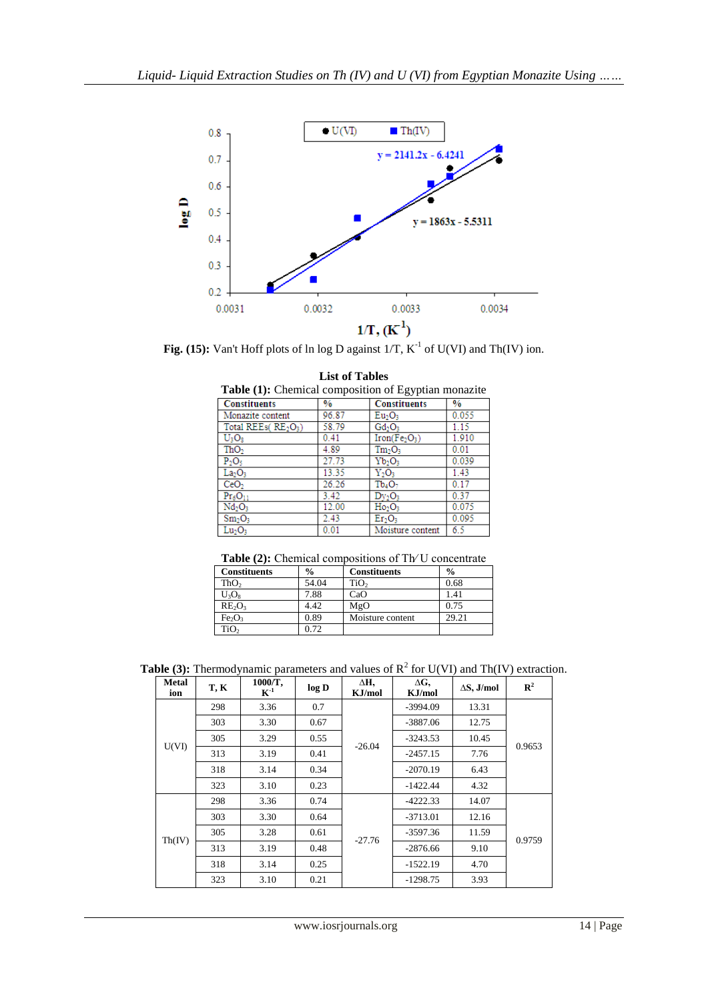

Fig.  $(15)$ : Van't Hoff plots of ln log D against  $1/T$ ,  $K^{-1}$  of U(VI) and Th(IV) ion.

| <b>Table (1):</b> Chemical composition of Egyptian monazite |               |                                       |       |  |  |  |
|-------------------------------------------------------------|---------------|---------------------------------------|-------|--|--|--|
| <b>Constituents</b>                                         | $\frac{0}{0}$ | <b>Constituents</b>                   | $\%$  |  |  |  |
| Monazite content                                            | 96.87         | Eu <sub>2</sub> O <sub>3</sub>        | 0.055 |  |  |  |
| Total REEs( $RE_2O_3$ )                                     | 58.79         | Gd <sub>2</sub> O <sub>3</sub>        | 1.15  |  |  |  |
| $U_3O_8$                                                    | 0.41          | Iron(Fe <sub>2</sub> O <sub>3</sub> ) | 1.910 |  |  |  |
| ThO <sub>2</sub>                                            | 4.89          | Tm <sub>2</sub> O <sub>3</sub>        | 0.01  |  |  |  |
| $P_2O_5$                                                    | 27.73         | $Yb_2O_3$                             | 0.039 |  |  |  |
| La <sub>2</sub> O <sub>3</sub>                              | 13.35         | $Y_2O_3$                              | 1.43  |  |  |  |
| CeO <sub>2</sub>                                            | 26.26         | Tb <sub>4</sub> O <sub>7</sub>        | 0.17  |  |  |  |
| $Pr_6O_{11}$                                                | 3.42          | Dv <sub>2</sub> O <sub>3</sub>        | 0.37  |  |  |  |
| Nd <sub>2</sub> O <sub>3</sub>                              | 12.00         | $Ho_2O_3$                             | 0.075 |  |  |  |
| Sm <sub>2</sub> O <sub>3</sub>                              | 2.43          | Er <sub>2</sub> O <sub>3</sub>        | 0.095 |  |  |  |
| Lu <sub>2</sub> O <sub>3</sub>                              | 0.01          | Moisture content                      | 6.5   |  |  |  |

| <b>List of Tables</b>                                       |  |
|-------------------------------------------------------------|--|
| <b>Table (1):</b> Chemical composition of Egyptian monazite |  |

**Table (2):** Chemical compositions of Th∕ U concentrate

| <b>Constituents</b>            | $\frac{0}{0}$ | <b>Constituents</b> | $\frac{0}{0}$ |
|--------------------------------|---------------|---------------------|---------------|
| ThO <sub>2</sub>               | 54.04         | TiO <sub>2</sub>    | 0.68          |
| $U_3O_8$                       | 7.88          | CaO                 | 1.41          |
| $RE_2O_3$                      | 4.42          | MgO                 | 0.75          |
| Fe <sub>2</sub> O <sub>3</sub> | 0.89          | Moisture content    | 29.21         |
| TiO <sub>2</sub>               | 0.72          |                     |               |

**Table (3):** Thermodynamic parameters and values of  $R^2$  for U(VI) and Th(IV) extraction.

| <b>Metal</b><br>ion | T, K | 1000/Т,<br>$\mathbf{K}^{-1}$ | log D | ΔH,<br>KJ/mol | $\Delta G$<br>KJ/mol | $\Delta S$ , J/mol | $\mathbb{R}^2$ |
|---------------------|------|------------------------------|-------|---------------|----------------------|--------------------|----------------|
| U(VI)               | 298  | 3.36                         | 0.7   | $-26.04$      | $-3994.09$           | 13.31              | 0.9653         |
|                     | 303  | 3.30                         | 0.67  |               | $-3887.06$           | 12.75              |                |
|                     | 305  | 3.29                         | 0.55  |               | $-3243.53$           | 10.45              |                |
|                     | 313  | 3.19                         | 0.41  |               | $-2457.15$           | 7.76               |                |
|                     | 318  | 3.14                         | 0.34  |               | $-2070.19$           | 6.43               |                |
|                     | 323  | 3.10                         | 0.23  |               | $-1422.44$           | 4.32               |                |
| Th(IV)              | 298  | 3.36                         | 0.74  | $-27.76$      | $-4222.33$           | 14.07              | 0.9759         |
|                     | 303  | 3.30                         | 0.64  |               | $-3713.01$           | 12.16              |                |
|                     | 305  | 3.28                         | 0.61  |               | $-3597.36$           | 11.59              |                |
|                     | 313  | 3.19                         | 0.48  |               | $-2876.66$           | 9.10               |                |
|                     | 318  | 3.14                         | 0.25  |               | $-1522.19$           | 4.70               |                |
|                     | 323  | 3.10                         | 0.21  |               | $-1298.75$           | 3.93               |                |